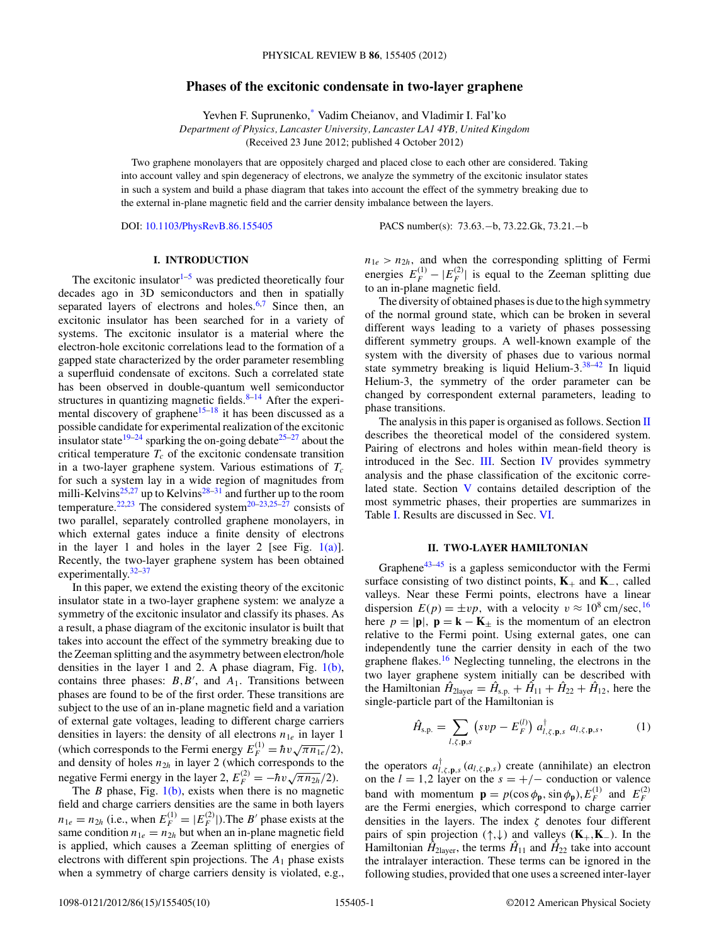## **Phases of the excitonic condensate in two-layer graphene**

Yevhen F. Suprunenko,[\\*](#page-9-0) Vadim Cheianov, and Vladimir I. Fal'ko *Department of Physics, Lancaster University, Lancaster LA1 4YB, United Kingdom* (Received 23 June 2012; published 4 October 2012)

<span id="page-0-0"></span>Two graphene monolayers that are oppositely charged and placed close to each other are considered. Taking into account valley and spin degeneracy of electrons, we analyze the symmetry of the excitonic insulator states in such a system and build a phase diagram that takes into account the effect of the symmetry breaking due to the external in-plane magnetic field and the carrier density imbalance between the layers.

DOI: [10.1103/PhysRevB.86.155405](http://dx.doi.org/10.1103/PhysRevB.86.155405) PACS number(s): 73*.*63*.*−b, 73*.*22*.*Gk, 73*.*21*.*−b

# **I. INTRODUCTION**

The excitonic insulator $1-5$  was predicted theoretically four decades ago in 3D semiconductors and then in spatially separated layers of electrons and holes.<sup>[6,7](#page-9-0)</sup> Since then, an excitonic insulator has been searched for in a variety of systems. The excitonic insulator is a material where the electron-hole excitonic correlations lead to the formation of a gapped state characterized by the order parameter resembling a superfluid condensate of excitons. Such a correlated state has been observed in double-quantum well semiconductor structures in quantizing magnetic fields. $8-14$  After the experimental discovery of graphene<sup>15–18</sup> it has been discussed as a possible candidate for experimental realization of the excitonic insulator state<sup>19–24</sup> sparking the on-going debate<sup>25–27</sup> about the critical temperature  $T_c$  of the excitonic condensate transition in a two-layer graphene system. Various estimations of  $T_c$ for such a system lay in a wide region of magnitudes from milli-Kelvins<sup>[25,27](#page-9-0)</sup> up to Kelvins<sup>[28–31](#page-9-0)</sup> and further up to the room temperature.<sup>[22,23](#page-9-0)</sup> The considered system<sup>[20–23,25–27](#page-9-0)</sup> consists of two parallel, separately controlled graphene monolayers, in which external gates induce a finite density of electrons in the layer 1 and holes in the layer 2 [see Fig.  $1(a)$ ]. Recently, the two-layer graphene system has been obtained experimentally. $32-37$ 

In this paper, we extend the existing theory of the excitonic insulator state in a two-layer graphene system: we analyze a symmetry of the excitonic insulator and classify its phases. As a result, a phase diagram of the excitonic insulator is built that takes into account the effect of the symmetry breaking due to the Zeeman splitting and the asymmetry between electron/hole densities in the layer 1 and 2. A phase diagram, Fig. [1\(b\),](#page-1-0) contains three phases:  $B, B'$ , and  $A_1$ . Transitions between phases are found to be of the first order. These transitions are subject to the use of an in-plane magnetic field and a variation of external gate voltages, leading to different charge carriers densities in layers: the density of all electrons  $n_{1e}$  in layer 1 (which corresponds to the Fermi energy  $E_F^{(1)} = \hbar v \sqrt{\pi n_{1e}}/2$ ), and density of holes  $n_{2h}$  in layer 2 (which corresponds to the negative Fermi energy in the layer 2,  $E_F^{(2)} = -\hbar v \sqrt{\pi n_{2h}}/2$ .

The *B* phase, Fig. [1\(b\),](#page-1-0) exists when there is no magnetic field and charge carriers densities are the same in both layers  $n_{1e} = n_{2h}$  (i.e., when  $E_F^{(1)} = |E_F^{(2)}|$ ). The *B*<sup> $\prime$ </sup> phase exists at the same condition  $n_{1e} = n_{2h}$  but when an in-plane magnetic field is applied, which causes a Zeeman splitting of energies of electrons with different spin projections. The *A*<sup>1</sup> phase exists when a symmetry of charge carriers density is violated, e.g.,  $n_{1e} > n_{2h}$ , and when the corresponding splitting of Fermi energies  $E_F^{(1)} - |E_F^{(2)}|$  is equal to the Zeeman splitting due to an in-plane magnetic field.

The diversity of obtained phases is due to the high symmetry of the normal ground state, which can be broken in several different ways leading to a variety of phases possessing different symmetry groups. A well-known example of the system with the diversity of phases due to various normal state symmetry breaking is liquid Helium- $3.38-42$  In liquid Helium-3, the symmetry of the order parameter can be changed by correspondent external parameters, leading to phase transitions.

The analysis in this paper is organised as follows. Section II describes the theoretical model of the considered system. Pairing of electrons and holes within mean-field theory is introduced in the Sec. [III.](#page-1-0) Section [IV](#page-2-0) provides symmetry analysis and the phase classification of the excitonic correlated state. Section [V](#page-3-0) contains detailed description of the most symmetric phases, their properties are summarizes in Table [I.](#page-4-0) Results are discussed in Sec. [VI.](#page-8-0)

## **II. TWO-LAYER HAMILTONIAN**

Graphene<sup>43–45</sup> is a gapless semiconductor with the Fermi surface consisting of two distinct points, **K**<sup>+</sup> and **K**−*,* called valleys. Near these Fermi points, electrons have a linear dispersion  $E(p) = \pm vp$ , with a velocity  $v \approx 10^8 \text{ cm/sec}$ , <sup>[16](#page-9-0)</sup> here  $p = |\mathbf{p}|$ ,  $\mathbf{p} = \mathbf{k} - \mathbf{K}_{\pm}$  is the momentum of an electron relative to the Fermi point. Using external gates, one can independently tune the carrier density in each of the two graphene flakes.<sup>[16](#page-9-0)</sup> Neglecting tunneling, the electrons in the two layer graphene system initially can be described with the Hamiltonian  $\hat{H}_{2\text{layer}} = \hat{H}_{s.p.} + \hat{H}_{11} + \hat{H}_{22} + \hat{H}_{12}$ , here the single-particle part of the Hamiltonian is

$$
\hat{H}_{\text{s.p.}} = \sum_{l,\zeta,\mathbf{p},s} \left( s v p - E_F^{(l)} \right) a_{l,\zeta,\mathbf{p},s}^\dagger \ a_{l,\zeta,\mathbf{p},s}, \tag{1}
$$

the operators  $a_{l,\zeta,\mathbf{p},s}^{\dagger}(a_{l,\zeta,\mathbf{p},s})$  create (annihilate) an electron on the  $l = 1,2$  layer on the  $s = +/-$  conduction or valence band with momentum  $\mathbf{p} = p(\cos \phi_{\mathbf{p}}, \sin \phi_{\mathbf{p}}), E_F^{(1)}$  and  $E_F^{(2)}$ are the Fermi energies, which correspond to charge carrier densities in the layers. The index *ζ* denotes four different pairs of spin projection (↑*,*↓) and valleys (**K**+*,***K**−)*.* In the Hamiltonian  $\hat{H}_{2\text{layer}}$ , the terms  $\hat{H}_{11}$  and  $\hat{H}_{22}$  take into account the intralayer interaction. These terms can be ignored in the following studies, provided that one uses a screened inter-layer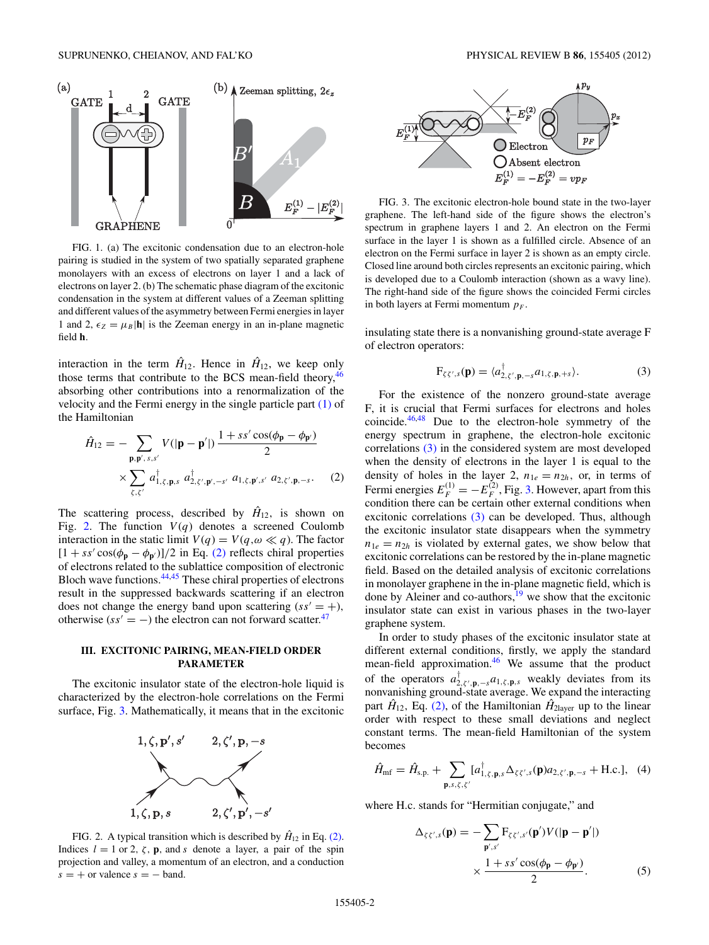<span id="page-1-0"></span>

FIG. 1. (a) The excitonic condensation due to an electron-hole pairing is studied in the system of two spatially separated graphene monolayers with an excess of electrons on layer 1 and a lack of electrons on layer 2. (b) The schematic phase diagram of the excitonic condensation in the system at different values of a Zeeman splitting and different values of the asymmetry between Fermi energies in layer 1 and 2,  $\epsilon_Z = \mu_B |\mathbf{h}|$  is the Zeeman energy in an in-plane magnetic field **h***.*

interaction in the term  $\hat{H}_{12}$ . Hence in  $\hat{H}_{12}$ , we keep only those terms that contribute to the BCS mean-field theory,  $46$ absorbing other contributions into a renormalization of the velocity and the Fermi energy in the single particle part [\(1\)](#page-0-0) of the Hamiltonian

$$
\hat{H}_{12} = -\sum_{\mathbf{p}, \mathbf{p}', s, s'} V(|\mathbf{p} - \mathbf{p}'|) \frac{1 + ss'\cos(\phi_{\mathbf{p}} - \phi_{\mathbf{p}'})}{2} \times \sum_{\zeta, \zeta'} a_{1, \zeta, \mathbf{p}, s}^{\dagger} a_{2, \zeta', \mathbf{p}', -s'}^{\dagger} a_{1, \zeta, \mathbf{p}', s'} a_{2, \zeta', \mathbf{p}, -s}. \tag{2}
$$

The scattering process, described by  $\hat{H}_{12}$ , is shown on Fig. 2. The function  $V(q)$  denotes a screened Coulomb interaction in the static limit  $V(q) = V(q, \omega \ll q)$ . The factor  $[1 + ss' \cos(\phi_{\mathbf{p}} - \phi_{\mathbf{p}'})]/2$  in Eq. (2) reflects chiral properties of electrons related to the sublattice composition of electronic Bloch wave functions.[44,45](#page-9-0) These chiral properties of electrons result in the suppressed backwards scattering if an electron does not change the energy band upon scattering  $(s s' = +)$ , otherwise  $(s s' = -)$  the electron can not forward scatter.<sup>[47](#page-9-0)</sup>

## **III. EXCITONIC PAIRING, MEAN-FIELD ORDER PARAMETER**

The excitonic insulator state of the electron-hole liquid is characterized by the electron-hole correlations on the Fermi surface, Fig. 3. Mathematically, it means that in the excitonic



FIG. 2. A typical transition which is described by  $\hat{H}_{12}$  in Eq. (2). Indices  $l = 1$  or 2,  $\zeta$ , **p**, and *s* denote a layer, a pair of the spin projection and valley, a momentum of an electron, and a conduction  $s = +$  or valence  $s = -$  band.



FIG. 3. The excitonic electron-hole bound state in the two-layer graphene. The left-hand side of the figure shows the electron's spectrum in graphene layers 1 and 2. An electron on the Fermi surface in the layer 1 is shown as a fulfilled circle. Absence of an electron on the Fermi surface in layer 2 is shown as an empty circle. Closed line around both circles represents an excitonic pairing, which is developed due to a Coulomb interaction (shown as a wavy line). The right-hand side of the figure shows the coincided Fermi circles in both layers at Fermi momentum  $p_F$ .

insulating state there is a nonvanishing ground-state average F of electron operators:

$$
F_{\zeta\zeta',s}(\mathbf{p}) = \langle a_{2,\zeta',\mathbf{p},-s}^{\dagger} a_{1,\zeta,\mathbf{p},+s} \rangle.
$$
 (3)

For the existence of the nonzero ground-state average F, it is crucial that Fermi surfaces for electrons and holes coincide.[46,48](#page-9-0) Due to the electron-hole symmetry of the energy spectrum in graphene, the electron-hole excitonic correlations (3) in the considered system are most developed when the density of electrons in the layer 1 is equal to the density of holes in the layer 2,  $n_{1e} = n_{2h}$ , or, in terms of Fermi energies  $E_F^{(1)} = -E_F^{(2)}$ , Fig. 3. However, apart from this condition there can be certain other external conditions when excitonic correlations (3) can be developed. Thus, although the excitonic insulator state disappears when the symmetry  $n_{1e} = n_{2h}$  is violated by external gates, we show below that excitonic correlations can be restored by the in-plane magnetic field. Based on the detailed analysis of excitonic correlations in monolayer graphene in the in-plane magnetic field, which is done by Aleiner and co-authors, $19$  we show that the excitonic insulator state can exist in various phases in the two-layer graphene system.

In order to study phases of the excitonic insulator state at different external conditions, firstly, we apply the standard mean-field approximation.<sup>[46](#page-9-0)</sup> We assume that the product of the operators  $a_{2,\zeta',\mathbf{p},-s}^{\dagger}a_{1,\zeta,\mathbf{p},s}$  weakly deviates from its nonvanishing ground-state average. We expand the interacting part  $\hat{H}_{12}$ , Eq. (2), of the Hamiltonian  $\hat{H}_{2\text{layer}}$  up to the linear order with respect to these small deviations and neglect constant terms. The mean-field Hamiltonian of the system becomes

$$
\hat{H}_{\rm mf} = \hat{H}_{\rm s.p.} + \sum_{\mathbf{p}, s, \zeta, \zeta'} [a_{1,\zeta,\mathbf{p},s}^{\dagger} \Delta_{\zeta\zeta',s}(\mathbf{p}) a_{2,\zeta',\mathbf{p},-s} + \text{H.c.}], \quad (4)
$$

where H.c. stands for "Hermitian conjugate," and

$$
\Delta_{\zeta\zeta',s}(\mathbf{p}) = -\sum_{\mathbf{p}',s'} \mathbf{F}_{\zeta\zeta',s'}(\mathbf{p}')V(|\mathbf{p}-\mathbf{p}'|)
$$

$$
\times \frac{1 + ss'\cos(\phi_{\mathbf{p}} - \phi_{\mathbf{p}'})}{2}.
$$
(5)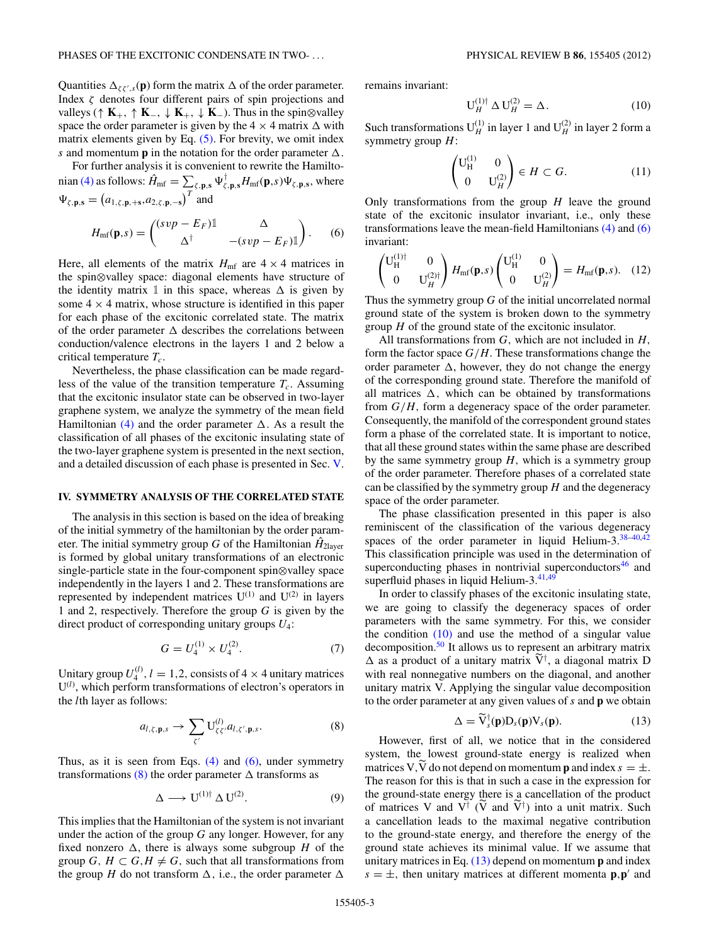<span id="page-2-0"></span>Quantities  $\Delta_{\zeta\zeta',s}(\mathbf{p})$  form the matrix  $\Delta$  of the order parameter. Index *ζ* denotes four different pairs of spin projections and valleys ( $\uparrow$  **K**<sub>+</sub>,  $\uparrow$  **K**<sub>−</sub>,  $\downarrow$  **K**<sub>+</sub>,  $\downarrow$  **K**<sub>−</sub>). Thus in the spin⊗valley space the order parameter is given by the  $4 \times 4$  matrix  $\Delta$  with matrix elements given by Eq.  $(5)$ . For brevity, we omit index *s* and momentum **p** in the notation for the order parameter  $\Delta$ .

For further analysis it is convenient to rewrite the Hamilto-nian [\(4\)](#page-1-0) as follows:  $\hat{H}_{\text{mf}} = \sum_{\zeta, \mathbf{p}, \mathbf{s}} \Psi_{\zeta, \mathbf{p}, \mathbf{s}}^{\dagger} H_{\text{mf}}(\mathbf{p}, s) \Psi_{\zeta, \mathbf{p}, \mathbf{s}},$  where  $\Psi_{\zeta, \mathbf{p}, \mathbf{s}} = (a_{1, \zeta, \mathbf{p}, +\mathbf{s}}, a_{2, \zeta, \mathbf{p}, -\mathbf{s}})^T$  and

$$
H_{\rm mf}(\mathbf{p},s) = \begin{pmatrix} (svp - E_F)\mathbb{1} & \Delta \\ \Delta^\dagger & -(svp - E_F)\mathbb{1} \end{pmatrix} . \tag{6}
$$

Here, all elements of the matrix  $H_{\text{mf}}$  are  $4 \times 4$  matrices in the spin⊗valley space: diagonal elements have structure of the identity matrix  $\mathbbm{1}$  in this space, whereas  $\Delta$  is given by some  $4 \times 4$  matrix, whose structure is identified in this paper for each phase of the excitonic correlated state. The matrix of the order parameter  $\Delta$  describes the correlations between conduction/valence electrons in the layers 1 and 2 below a critical temperature *Tc*.

Nevertheless, the phase classification can be made regardless of the value of the transition temperature  $T_c$ . Assuming that the excitonic insulator state can be observed in two-layer graphene system, we analyze the symmetry of the mean field Hamiltonian [\(4\)](#page-1-0) and the order parameter  $\Delta$ . As a result the classification of all phases of the excitonic insulating state of the two-layer graphene system is presented in the next section, and a detailed discussion of each phase is presented in Sec. [V.](#page-3-0)

#### **IV. SYMMETRY ANALYSIS OF THE CORRELATED STATE**

The analysis in this section is based on the idea of breaking of the initial symmetry of the hamiltonian by the order parameter. The initial symmetry group *G* of the Hamiltonian  $\hat{H}_{2\text{layer}}$ is formed by global unitary transformations of an electronic single-particle state in the four-component spin⊗valley space independently in the layers 1 and 2. These transformations are represented by independent matrices  $U^{(1)}$  and  $U^{(2)}$  in layers 1 and 2, respectively. Therefore the group *G* is given by the direct product of corresponding unitary groups *U*4:

$$
G = U_4^{(1)} \times U_4^{(2)}.\t\t(7)
$$

Unitary group  $U_4^{(l)}$ ,  $l = 1, 2$ , consists of  $4 \times 4$  unitary matrices U(*<sup>l</sup>*) , which perform transformations of electron's operators in the *l*th layer as follows:

$$
a_{l,\zeta,\mathbf{p},s} \to \sum_{\zeta'} U_{\zeta\zeta'}^{(l)}, a_{l,\zeta',\mathbf{p},s}.
$$
 (8)

Thus, as it is seen from Eqs.  $(4)$  and  $(6)$ , under symmetry transformations (8) the order parameter  $\Delta$  transforms as

$$
\Delta \longrightarrow U^{(1)\dagger} \Delta U^{(2)}.
$$
 (9)

This implies that the Hamiltonian of the system is not invariant under the action of the group *G* any longer. However, for any fixed nonzero  $\Delta$ , there is always some subgroup *H* of the group *G*,  $H \subset G$ ,  $H \neq G$ , such that all transformations from the group *H* do not transform  $\Delta$ , i.e., the order parameter  $\Delta$ 

remains invariant:

$$
\mathbf{U}_{H}^{(1)\dagger} \Delta \mathbf{U}_{H}^{(2)} = \Delta. \tag{10}
$$

Such transformations  $U_H^{(1)}$  in layer 1 and  $U_H^{(2)}$  in layer 2 form a symmetry group *H*:

$$
\begin{pmatrix} \mathbf{U}_{\mathbf{H}}^{(1)} & 0\\ 0 & \mathbf{U}_{H}^{(2)} \end{pmatrix} \in H \subset G. \tag{11}
$$

Only transformations from the group *H* leave the ground state of the excitonic insulator invariant, i.e., only these transformations leave the mean-field Hamiltonians [\(4\)](#page-1-0) and (6) invariant:

$$
\begin{pmatrix} \mathbf{U}_{\mathbf{H}}^{(1)\dagger} & 0\\ 0 & \mathbf{U}_{H}^{(2)\dagger} \end{pmatrix} H_{\text{mf}}(\mathbf{p},s) \begin{pmatrix} \mathbf{U}_{\mathbf{H}}^{(1)} & 0\\ 0 & \mathbf{U}_{H}^{(2)} \end{pmatrix} = H_{\text{mf}}(\mathbf{p},s). \quad (12)
$$

Thus the symmetry group *G* of the initial uncorrelated normal ground state of the system is broken down to the symmetry group *H* of the ground state of the excitonic insulator.

All transformations from *G,* which are not included in *H,* form the factor space  $G/H$ . These transformations change the order parameter  $\Delta$ , however, they do not change the energy of the corresponding ground state. Therefore the manifold of all matrices  $\Delta$ , which can be obtained by transformations from *G/H,* form a degeneracy space of the order parameter. Consequently, the manifold of the correspondent ground states form a phase of the correlated state. It is important to notice, that all these ground states within the same phase are described by the same symmetry group *H,* which is a symmetry group of the order parameter. Therefore phases of a correlated state can be classified by the symmetry group *H* and the degeneracy space of the order parameter.

The phase classification presented in this paper is also reminiscent of the classification of the various degeneracy spaces of the order parameter in liquid Helium-3.[38–40,42](#page-9-0) This classification principle was used in the determination of superconducting phases in nontrivial superconductors<sup>[46](#page-9-0)</sup> and superfluid phases in liquid Helium- $3.41,49$  $3.41,49$ 

In order to classify phases of the excitonic insulating state, we are going to classify the degeneracy spaces of order parameters with the same symmetry. For this, we consider the condition  $(10)$  and use the method of a singular value decomposition.[50](#page-9-0) It allows us to represent an arbitrary matrix  $\Delta$  as a product of a unitary matrix  $V^{\dagger}$ , a diagonal matrix D with real nonnegative numbers on the diagonal, and another unitary matrix V. Applying the singular value decomposition to the order parameter at any given values of *s* and **p** we obtain

$$
\Delta = \widetilde{V}_s^{\dagger}(\mathbf{p})D_s(\mathbf{p})V_s(\mathbf{p}). \tag{13}
$$

However, first of all, we notice that in the considered system, the lowest ground-state energy is realized when matrices V, V do not depend on momentum **p** and index  $s = \pm$ . The reason for this is that in such a case in the expression for the ground-state energy there is a cancellation of the product of matrices V and  $V^{\dagger}$  (V and  $V^{\dagger}$ ) into a unit matrix. Such a cancellation leads to the maximal negative contribution to the ground-state energy, and therefore the energy of the ground state achieves its minimal value. If we assume that unitary matrices in Eq. (13) depend on momentum **p** and index  $s = \pm$ , then unitary matrices at different momenta **p***,***p**<sup> $\prime$ </sup> and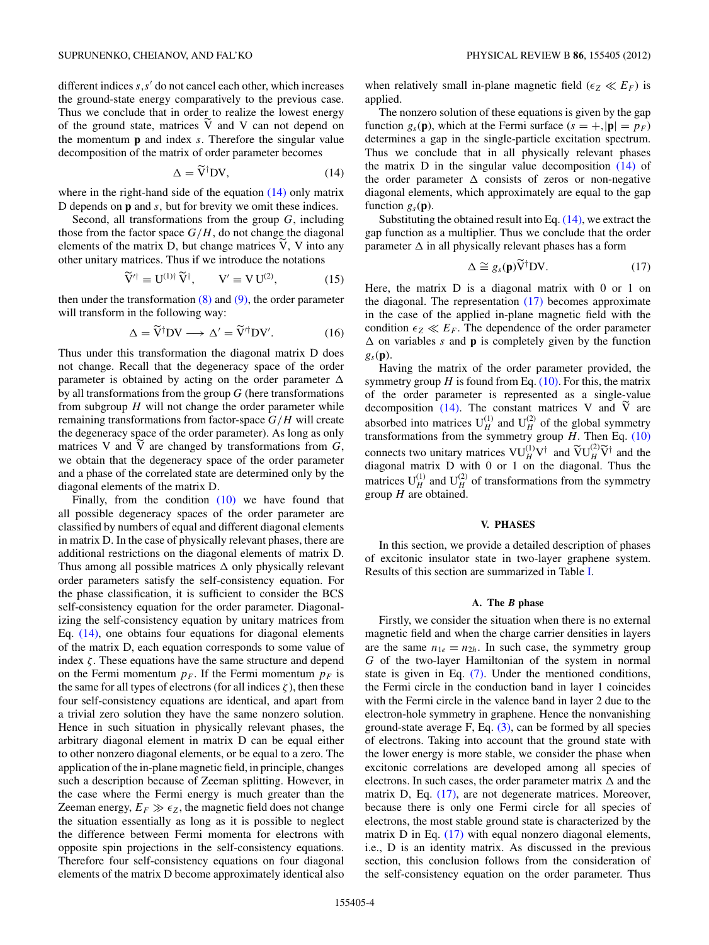<span id="page-3-0"></span>different indices  $s, s'$  do not cancel each other, which increases the ground-state energy comparatively to the previous case. Thus we conclude that in order to realize the lowest energy of the ground state, matrices V and V can not depend on the momentum **p** and index *s.* Therefore the singular value decomposition of the matrix of order parameter becomes

$$
\Delta = \widetilde{V}^{\dagger} DV,\tag{14}
$$

where in the right-hand side of the equation  $(14)$  only matrix D depends on **p** and *s,* but for brevity we omit these indices.

Second, all transformations from the group *G*, including those from the factor space  $G/H$ , do not change the diagonal elements of the matrix D*,* but change matrices V*,* V into any other unitary matrices. Thus if we introduce the notations

$$
\widetilde{\mathbf{V}}^{\prime \dagger} \equiv \mathbf{U}^{(1)\dagger} \widetilde{\mathbf{V}}^{\dagger}, \qquad \mathbf{V}^{\prime} \equiv \mathbf{V} \mathbf{U}^{(2)}, \tag{15}
$$

then under the transformation  $(8)$  and  $(9)$ , the order parameter will transform in the following way:

$$
\Delta = \widetilde{V}^{\dagger} DV \longrightarrow \Delta' = \widetilde{V}'^{\dagger} DV'. \tag{16}
$$

Thus under this transformation the diagonal matrix D does not change. Recall that the degeneracy space of the order parameter is obtained by acting on the order parameter  $\Delta$ by all transformations from the group *G* (here transformations from subgroup *H* will not change the order parameter while remaining transformations from factor-space *G/H* will create the degeneracy space of the order parameter). As long as only matrices V and V are changed by transformations from *G*, we obtain that the degeneracy space of the order parameter and a phase of the correlated state are determined only by the diagonal elements of the matrix D*.*

Finally, from the condition [\(10\)](#page-2-0) we have found that all possible degeneracy spaces of the order parameter are classified by numbers of equal and different diagonal elements in matrix D*.* In the case of physically relevant phases, there are additional restrictions on the diagonal elements of matrix D. Thus among all possible matrices  $\Delta$  only physically relevant order parameters satisfy the self-consistency equation. For the phase classification, it is sufficient to consider the BCS self-consistency equation for the order parameter. Diagonalizing the self-consistency equation by unitary matrices from Eq. (14), one obtains four equations for diagonal elements of the matrix D, each equation corresponds to some value of index  $\zeta$ . These equations have the same structure and depend on the Fermi momentum  $p_F$ . If the Fermi momentum  $p_F$  is the same for all types of electrons (for all indices  $\zeta$ ), then these four self-consistency equations are identical, and apart from a trivial zero solution they have the same nonzero solution. Hence in such situation in physically relevant phases, the arbitrary diagonal element in matrix D can be equal either to other nonzero diagonal elements, or be equal to a zero. The application of the in-plane magnetic field, in principle, changes such a description because of Zeeman splitting. However, in the case where the Fermi energy is much greater than the Zeeman energy,  $E_F \gg \epsilon_Z$ , the magnetic field does not change the situation essentially as long as it is possible to neglect the difference between Fermi momenta for electrons with opposite spin projections in the self-consistency equations. Therefore four self-consistency equations on four diagonal elements of the matrix D become approximately identical also when relatively small in-plane magnetic field ( $\epsilon_Z \ll E_F$ ) is applied.

The nonzero solution of these equations is given by the gap function  $g_s(\mathbf{p})$ , which at the Fermi surface  $(s = +, |\mathbf{p}| = p_F)$ determines a gap in the single-particle excitation spectrum. Thus we conclude that in all physically relevant phases the matrix D in the singular value decomposition (14) of the order parameter  $\Delta$  consists of zeros or non-negative diagonal elements, which approximately are equal to the gap function  $g_s(\mathbf{p})$ .

Substituting the obtained result into Eq. (14), we extract the gap function as a multiplier. Thus we conclude that the order parameter  $\Delta$  in all physically relevant phases has a form

$$
\Delta \cong g_s(\mathbf{p}) \tilde{\mathbf{V}}^\dagger \mathbf{D} \mathbf{V}.
$$
 (17)

Here, the matrix D is a diagonal matrix with 0 or 1 on the diagonal. The representation (17) becomes approximate in the case of the applied in-plane magnetic field with the condition  $\epsilon_Z \ll E_F$ . The dependence of the order parameter  $\triangle$  on variables *s* and **p** is completely given by the function *gs*(**p**)*.*

Having the matrix of the order parameter provided, the symmetry group  $H$  is found from Eq.  $(10)$ . For this, the matrix of the order parameter is represented as a single-value decomposition  $(14)$ . The constant matrices V and V are absorbed into matrices  $U_H^{(1)}$  and  $U_H^{(2)}$  of the global symmetry transformations from the symmetry group *H.* Then Eq. [\(10\)](#page-2-0) connects two unitary matrices  $VU_H^{(1)}V^{\dagger}$  and  $\widetilde{V}U_H^{(2)}\widetilde{V}^{\dagger}$  and the diagonal matrix D with 0 or 1 on the diagonal. Thus the matrices  $U_H^{(1)}$  and  $U_H^{(2)}$  of transformations from the symmetry group *H* are obtained.

## **V. PHASES**

In this section, we provide a detailed description of phases of excitonic insulator state in two-layer graphene system. Results of this section are summarized in Table [I.](#page-4-0)

### **A. The** *B* **phase**

Firstly, we consider the situation when there is no external magnetic field and when the charge carrier densities in layers are the same  $n_{1e} = n_{2h}$ . In such case, the symmetry group *G* of the two-layer Hamiltonian of the system in normal state is given in Eq. [\(7\).](#page-2-0) Under the mentioned conditions, the Fermi circle in the conduction band in layer 1 coincides with the Fermi circle in the valence band in layer 2 due to the electron-hole symmetry in graphene. Hence the nonvanishing ground-state average  $F$ , Eq.  $(3)$ , can be formed by all species of electrons. Taking into account that the ground state with the lower energy is more stable, we consider the phase when excitonic correlations are developed among all species of electrons. In such cases, the order parameter matrix  $\Delta$  and the matrix D*,* Eq. (17), are not degenerate matrices. Moreover, because there is only one Fermi circle for all species of electrons, the most stable ground state is characterized by the matrix D in Eq. (17) with equal nonzero diagonal elements, i.e., D is an identity matrix. As discussed in the previous section, this conclusion follows from the consideration of the self-consistency equation on the order parameter. Thus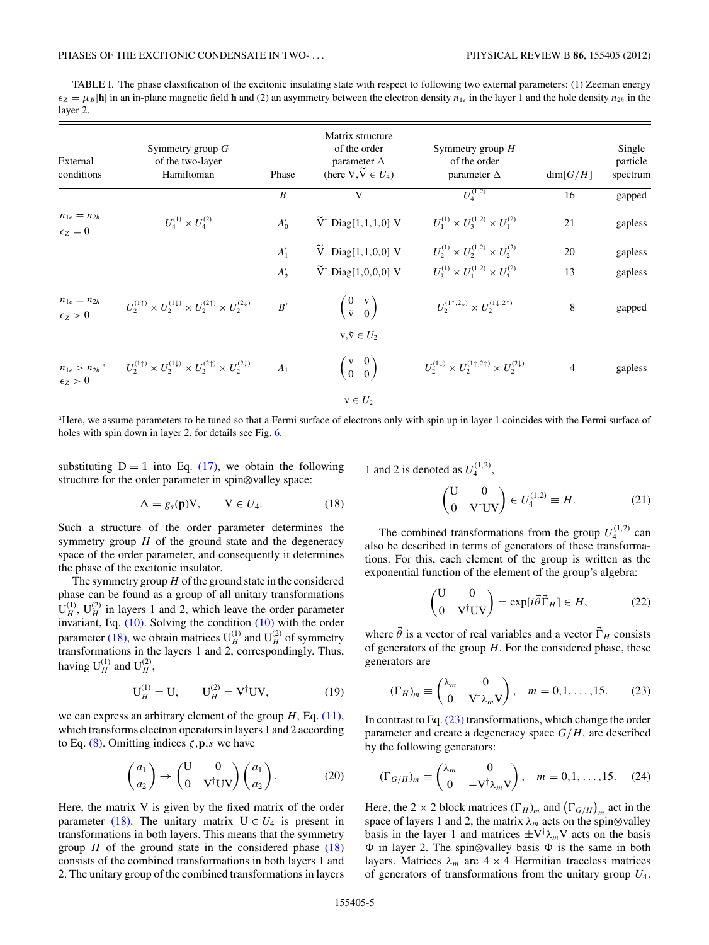<span id="page-4-0"></span>TABLE I. The phase classification of the excitonic insulating state with respect to following two external parameters: (1) Zeeman energy  $\epsilon_Z = \mu_B |\mathbf{h}|$  in an in-plane magnetic field **h** and (2) an asymmetry between the electron density  $n_{1e}$  in the layer 1 and the hole density  $n_{2h}$  in the layer 2.

| External<br>conditions                             | Symmetry group $G$<br>of the two-layer<br>Hamiltonian                                              | Phase            | Matrix structure<br>of the order<br>parameter $\Delta$<br>(here $V, \widetilde{V} \in U_4$ ) | Symmetry group $H$<br>of the order<br>parameter $\Delta$                            | dim[G/H]       | Single<br>particle<br>spectrum |
|----------------------------------------------------|----------------------------------------------------------------------------------------------------|------------------|----------------------------------------------------------------------------------------------|-------------------------------------------------------------------------------------|----------------|--------------------------------|
|                                                    |                                                                                                    | $\boldsymbol{B}$ | V                                                                                            | $U_4^{(1,2)}$                                                                       | 16             | gapped                         |
| $n_{1e} = n_{2h}$<br>$\epsilon_Z=0$                | $U_4^{(1)} \times U_4^{(2)}$                                                                       | $A'_0$           | $\widetilde{V}^{\dagger}$ Diag[1,1,1,0] V                                                    | $U_1^{(1)} \times U_3^{(1,2)} \times U_1^{(2)}$                                     | 21             | gapless                        |
|                                                    |                                                                                                    | $A'_1$           | $\widetilde{V}^{\dagger}$ Diag[1,1,0,0] V                                                    | $U_2^{(1)} \times U_2^{(1,2)} \times U_2^{(2)}$                                     | 20             | gapless                        |
|                                                    |                                                                                                    | $A'_2$           | $\widetilde{V}^{\dagger}$ Diag[1,0,0,0] V                                                    | $U_3^{(1)} \times U_1^{(1,2)} \times U_3^{(2)}$                                     | 13             | gapless                        |
| $n_{1e} = n_{2h}$<br>$\epsilon_Z > 0$              | $U_2^{(1\uparrow)}\times U_2^{(1\downarrow)}\times U_2^{(2\uparrow)}\times U_2^{(2\downarrow)}$    | B'               | $\begin{pmatrix} 0 & v \\ \tilde{v} & 0 \end{pmatrix}$                                       | $U_2^{(1\uparrow,2\downarrow)} \times U_2^{(1\downarrow,2\uparrow)}$                | 8              | gapped                         |
|                                                    |                                                                                                    |                  | $v, \tilde{v} \in U_2$                                                                       |                                                                                     |                |                                |
| $n_{1e} > n_{2h}$ <sup>a</sup><br>$\epsilon_Z > 0$ | $U_2^{(1\uparrow)} \times U_2^{(1\downarrow)} \times U_2^{(2\uparrow)} \times U_2^{(2\downarrow)}$ | A <sub>1</sub>   | $\left(\begin{matrix} v & 0 \\ 0 & 0 \end{matrix}\right)$                                    | $U_2^{(1\downarrow)} \times U_2^{(1\uparrow,2\uparrow)} \times U_2^{(2\downarrow)}$ | $\overline{4}$ | gapless                        |
|                                                    |                                                                                                    |                  | $v \in U_2$                                                                                  |                                                                                     |                |                                |

<sup>a</sup>Here, we assume parameters to be tuned so that a Fermi surface of electrons only with spin up in layer 1 coincides with the Fermi surface of holes with spin down in layer 2, for details see Fig. [6.](#page-7-0)

substituting  $D = 1$  into Eq. [\(17\),](#page-3-0) we obtain the following structure for the order parameter in spin⊗valley space:

$$
\Delta = g_s(\mathbf{p}) \mathbf{V}, \qquad \mathbf{V} \in U_4. \tag{18}
$$

Such a structure of the order parameter determines the symmetry group *H* of the ground state and the degeneracy space of the order parameter, and consequently it determines the phase of the excitonic insulator.

The symmetry group*H* of the ground state in the considered phase can be found as a group of all unitary transformations  $U_H^{(1)}$ ,  $U_H^{(2)}$  in layers 1 and 2, which leave the order parameter invariant, Eq. [\(10\).](#page-2-0) Solving the condition [\(10\)](#page-2-0) with the order parameter (18), we obtain matrices  $U_H^{(1)}$  and  $U_H^{(2)}$  of symmetry transformations in the layers 1 and 2, correspondingly. Thus, having  $U_H^{(1)}$  and  $U_H^{(2)}$ ,

$$
U_H^{(1)} = U, \qquad U_H^{(2)} = V^{\dagger} UV, \tag{19}
$$

we can express an arbitrary element of the group *H,* Eq. [\(11\),](#page-2-0) which transforms electron operators in layers 1 and 2 according to Eq. [\(8\).](#page-2-0) Omitting indices *ζ,***p***,s* we have

$$
\begin{pmatrix} a_1 \\ a_2 \end{pmatrix} \rightarrow \begin{pmatrix} \mathbf{U} & \mathbf{0} \\ \mathbf{0} & \mathbf{V}^\dagger \mathbf{U} \mathbf{V} \end{pmatrix} \begin{pmatrix} a_1 \\ a_2 \end{pmatrix} . \tag{20}
$$

Here, the matrix V is given by the fixed matrix of the order parameter (18). The unitary matrix  $U \in U_4$  is present in transformations in both layers. This means that the symmetry group  $H$  of the ground state in the considered phase  $(18)$ consists of the combined transformations in both layers 1 and 2. The unitary group of the combined transformations in layers

1 and 2 is denoted as  $U_4^{(1,2)}$ ,

$$
\begin{pmatrix} \mathbf{U} & \mathbf{0} \\ \mathbf{0} & \mathbf{V}^\dagger \mathbf{U} \mathbf{V} \end{pmatrix} \in U_4^{(1,2)} \equiv H. \tag{21}
$$

The combined transformations from the group  $U_4^{(1,2)}$  can also be described in terms of generators of these transformations. For this, each element of the group is written as the exponential function of the element of the group's algebra:

$$
\begin{pmatrix} \mathbf{U} & 0 \\ 0 & \mathbf{V}^\dagger \mathbf{U} \mathbf{V} \end{pmatrix} = \exp[i\vec{\theta}\vec{\Gamma}_H] \in H,\tag{22}
$$

where  $\theta$  is a vector of real variables and a vector  $\Gamma_H$  consists of generators of the group *H.* For the considered phase, these generators are

$$
(\Gamma_H)_m \equiv \begin{pmatrix} \lambda_m & 0 \\ 0 & \text{V}^\dagger \lambda_m \text{V} \end{pmatrix}, \quad m = 0, 1, \dots, 15. \tag{23}
$$

In contrast to Eq. (23) transformations, which change the order parameter and create a degeneracy space *G/H,* are described by the following generators:

$$
(\Gamma_{G/H})_m \equiv \begin{pmatrix} \lambda_m & 0 \\ 0 & -\mathrm{V}^\dagger \lambda_m \mathrm{V} \end{pmatrix}, \quad m = 0, 1, \dots, 15. \tag{24}
$$

Here, the 2 × 2 block matrices  $(\Gamma_H)_m$  and  $(\Gamma_{G/H})_m$  act in the space of layers 1 and 2, the matrix  $\lambda_m$  acts on the spin⊗valley basis in the layer 1 and matrices  $\pm V^{\dagger} \lambda_m V$  acts on the basis  in layer 2. The spin⊗valley basis  is the same in both layers. Matrices  $\lambda_m$  are  $4 \times 4$  Hermitian traceless matrices of generators of transformations from the unitary group *U*4*.*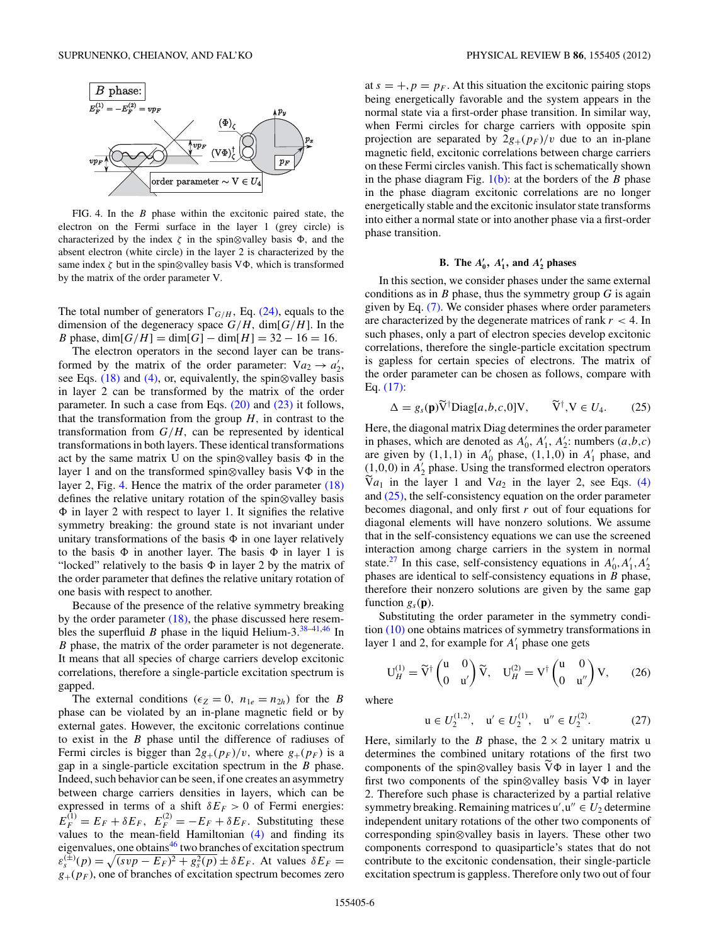<span id="page-5-0"></span>

FIG. 4. In the *B* phase within the excitonic paired state, the electron on the Fermi surface in the layer 1 (grey circle) is characterized by the index  $\zeta$  in the spin⊗valley basis  $\Phi$ , and the absent electron (white circle) in the layer 2 is characterized by the same index  $\zeta$  but in the spin⊗valley basis  $\nabla \Phi$ , which is transformed by the matrix of the order parameter V.

The total number of generators  $\Gamma_{G/H}$ , Eq. [\(24\),](#page-4-0) equals to the dimension of the degeneracy space  $G/H$ , dim $[G/H]$ . In the *B* phase,  $dim[G/H] = dim[G] - dim[H] = 32 - 16 = 16$ .

The electron operators in the second layer can be transformed by the matrix of the order parameter:  $Va_2 \rightarrow a'_2$ , see Eqs. [\(18\)](#page-4-0) and [\(4\),](#page-1-0) or, equivalently, the spin⊗valley basis in layer 2 can be transformed by the matrix of the order parameter. In such a case from Eqs.  $(20)$  and  $(23)$  it follows, that the transformation from the group  $H$ , in contrast to the transformation from  $G/H$ , can be represented by identical transformations in both layers. These identical transformations act by the same matrix U on the spin⊗valley basis  in the layer 1 and on the transformed spin⊗valley basis V in the layer 2, Fig. 4. Hence the matrix of the order parameter  $(18)$ defines the relative unitary rotation of the spin⊗valley basis  in layer 2 with respect to layer 1. It signifies the relative symmetry breaking: the ground state is not invariant under unitary transformations of the basis  $\Phi$  in one layer relatively to the basis  $\Phi$  in another layer. The basis  $\Phi$  in layer 1 is "locked" relatively to the basis  in layer 2 by the matrix of the order parameter that defines the relative unitary rotation of one basis with respect to another.

Because of the presence of the relative symmetry breaking by the order parameter [\(18\),](#page-4-0) the phase discussed here resembles the superfluid *B* phase in the liquid Helium-3. $38-41,46$  In *B* phase, the matrix of the order parameter is not degenerate. It means that all species of charge carriers develop excitonic correlations, therefore a single-particle excitation spectrum is gapped.

The external conditions ( $\epsilon_Z = 0$ ,  $n_{1e} = n_{2h}$ ) for the *B* phase can be violated by an in-plane magnetic field or by external gates. However, the excitonic correlations continue to exist in the *B* phase until the difference of radiuses of Fermi circles is bigger than  $2g_{+}(p_F)/v$ , where  $g_{+}(p_F)$  is a gap in a single-particle excitation spectrum in the *B* phase. Indeed, such behavior can be seen, if one creates an asymmetry between charge carriers densities in layers, which can be expressed in terms of a shift  $\delta E_F > 0$  of Fermi energies:  $E_F^{(1)} = E_F + \delta E_F$ ,  $E_F^{(2)} = -E_F + \delta E_F$ . Substituting these values to the mean-field Hamiltonian [\(4\)](#page-1-0) and finding its eigenvalues, one obtains $46$  two branches of excitation spectrum  $\varepsilon_s^{(\pm)}(p) = \sqrt{(svp - E_F)^2 + g_s^2(p)} \pm \delta E_F$ . At values  $\delta E_F =$  $g_{+}(p_F)$ , one of branches of excitation spectrum becomes zero at  $s = +, p = p_F$ . At this situation the excitonic pairing stops being energetically favorable and the system appears in the normal state via a first-order phase transition. In similar way, when Fermi circles for charge carriers with opposite spin projection are separated by  $2g_{+}(p_F)/v$  due to an in-plane magnetic field, excitonic correlations between charge carriers on these Fermi circles vanish. This fact is schematically shown in the phase diagram Fig.  $1(b)$ : at the borders of the *B* phase in the phase diagram excitonic correlations are no longer energetically stable and the excitonic insulator state transforms into either a normal state or into another phase via a first-order phase transition.

## **B.** The  $A'_0$ ,  $A'_1$ , and  $A'_2$  phases

In this section, we consider phases under the same external conditions as in *B* phase, thus the symmetry group *G* is again given by Eq. [\(7\).](#page-2-0) We consider phases where order parameters are characterized by the degenerate matrices of rank *r <* 4*.* In such phases, only a part of electron species develop excitonic correlations, therefore the single-particle excitation spectrum is gapless for certain species of electrons. The matrix of the order parameter can be chosen as follows, compare with Eq. [\(17\):](#page-3-0)

$$
\Delta = g_s(\mathbf{p}) \widetilde{\mathbf{V}}^\dagger \text{Diag}[a, b, c, 0] \mathbf{V}, \qquad \widetilde{\mathbf{V}}^\dagger, \mathbf{V} \in U_4. \tag{25}
$$

Here, the diagonal matrix Diag determines the order parameter in phases, which are denoted as  $A'_0$ ,  $A'_1$ ,  $A'_2$ : numbers  $(a,b,c)$ are given by  $(1,1,1)$  in  $A'_0$  phase,  $(1,1,0)$  in  $A'_1$  phase, and  $(1,0,0)$  in  $A'_2$  phase. Using the transformed electron operators  $Va_1$  in the layer 1 and  $Va_2$  in the layer 2, see Eqs. [\(4\)](#page-1-0) and (25), the self-consistency equation on the order parameter becomes diagonal, and only first *r* out of four equations for diagonal elements will have nonzero solutions. We assume that in the self-consistency equations we can use the screened interaction among charge carriers in the system in normal state.<sup>[27](#page-9-0)</sup> In this case, self-consistency equations in  $A'_0, A'_1, A'_2$ phases are identical to self-consistency equations in *B* phase, therefore their nonzero solutions are given by the same gap function  $g_s(\mathbf{p})$ .

Substituting the order parameter in the symmetry condition [\(10\)](#page-2-0) one obtains matrices of symmetry transformations in layer 1 and 2, for example for  $A'_1$  phase one gets

$$
\mathbf{U}_{H}^{(1)} = \widetilde{\mathbf{V}}^{\dagger} \begin{pmatrix} \mathbf{u} & 0 \\ 0 & \mathbf{u}' \end{pmatrix} \widetilde{\mathbf{V}}, \quad \mathbf{U}_{H}^{(2)} = \mathbf{V}^{\dagger} \begin{pmatrix} \mathbf{u} & 0 \\ 0 & \mathbf{u}'' \end{pmatrix} \mathbf{V}, \tag{26}
$$

where

$$
\mathbf{u} \in U_2^{(1,2)}, \quad \mathbf{u}' \in U_2^{(1)}, \quad \mathbf{u}'' \in U_2^{(2)}.\tag{27}
$$

Here, similarly to the *B* phase, the  $2 \times 2$  unitary matrix u determines the combined unitary rotations of the first two components of the spin⊗valley basis V in layer 1 and the first two components of the spin⊗valley basis V in layer 2. Therefore such phase is characterized by a partial relative symmetry breaking. Remaining matrices  $u', u'' \in U_2$  determine independent unitary rotations of the other two components of corresponding spin⊗valley basis in layers. These other two components correspond to quasiparticle's states that do not contribute to the excitonic condensation, their single-particle excitation spectrum is gappless. Therefore only two out of four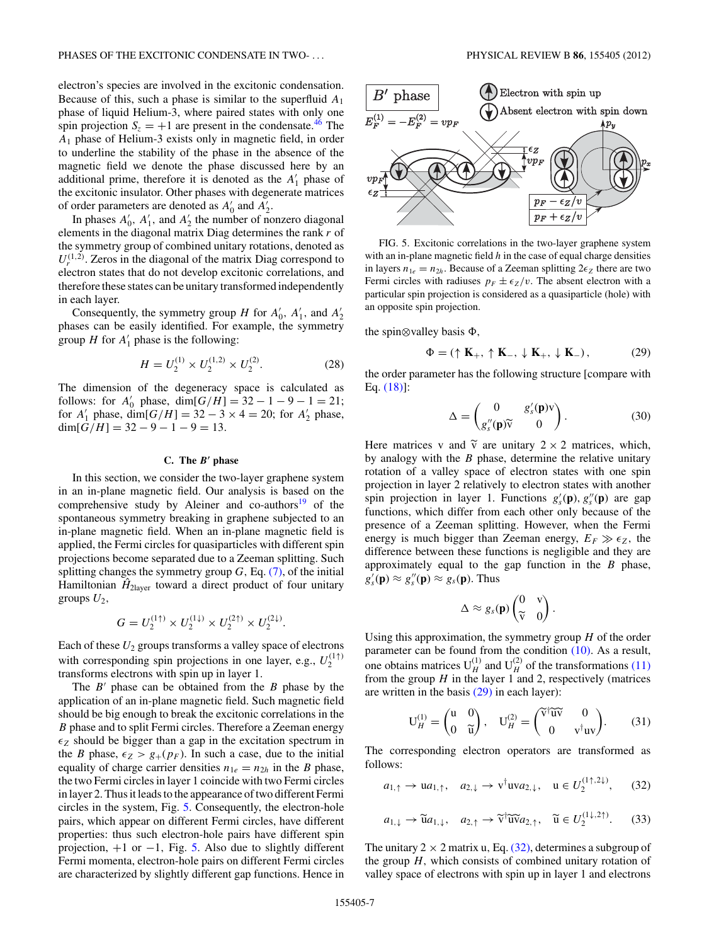<span id="page-6-0"></span>electron's species are involved in the excitonic condensation. Because of this, such a phase is similar to the superfluid *A*<sup>1</sup> phase of liquid Helium-3, where paired states with only one spin projection  $S_z = +1$  are present in the condensate.<sup>46</sup> The *A*<sup>1</sup> phase of Helium-3 exists only in magnetic field, in order to underline the stability of the phase in the absence of the magnetic field we denote the phase discussed here by an additional prime, therefore it is denoted as the  $A'_1$  phase of the excitonic insulator. Other phases with degenerate matrices of order parameters are denoted as  $A'_0$  and  $A'_2$ .

In phases  $A'_0$ ,  $A'_1$ , and  $A'_2$  the number of nonzero diagonal elements in the diagonal matrix Diag determines the rank *r* of the symmetry group of combined unitary rotations, denoted as  $U_r^{(1,2)}$ . Zeros in the diagonal of the matrix Diag correspond to electron states that do not develop excitonic correlations, and therefore these states can be unitary transformed independently in each layer.

Consequently, the symmetry group *H* for  $A'_0$ ,  $A'_1$ , and  $A'_2$ phases can be easily identified. For example, the symmetry group  $H$  for  $A'_1$  phase is the following:

$$
H = U_2^{(1)} \times U_2^{(1,2)} \times U_2^{(2)}.
$$
 (28)

The dimension of the degeneracy space is calculated as follows: for  $A'_0$  phase,  $\dim[G/H] = 32 - 1 - 9 - 1 = 21$ ; for  $A'_1$  phase, dim $[G/H] = 32 - 3 \times 4 = 20$ ; for  $A'_2$  phase,  $dim[G/H] = 32 - 9 - 1 - 9 = 13.$ 

### **C. The** *B***- phase**

In this section, we consider the two-layer graphene system in an in-plane magnetic field. Our analysis is based on the comprehensive study by Aleiner and co-authors $19$  of the spontaneous symmetry breaking in graphene subjected to an in-plane magnetic field. When an in-plane magnetic field is applied, the Fermi circles for quasiparticles with different spin projections become separated due to a Zeeman splitting. Such splitting changes the symmetry group *G,* Eq. [\(7\),](#page-2-0) of the initial Hamiltonian  $\hat{H}_{2\text{layer}}$  toward a direct product of four unitary groups  $U_2$ ,

$$
G=U_2^{(1\uparrow)}\times U_2^{(1\downarrow)}\times U_2^{(2\uparrow)}\times U_2^{(2\downarrow)}.
$$

Each of these *U*<sup>2</sup> groups transforms a valley space of electrons with corresponding spin projections in one layer, e.g.,  $U_2^{(1\uparrow)}$ transforms electrons with spin up in layer 1.

The *B*<sup>'</sup> phase can be obtained from the *B* phase by the application of an in-plane magnetic field. Such magnetic field should be big enough to break the excitonic correlations in the *B* phase and to split Fermi circles. Therefore a Zeeman energy  $\epsilon_Z$  should be bigger than a gap in the excitation spectrum in the *B* phase,  $\epsilon_Z > g_+(p_F)$ . In such a case, due to the initial equality of charge carrier densities  $n_{1e} = n_{2h}$  in the *B* phase, the two Fermi circles in layer 1 coincide with two Fermi circles in layer 2. Thus it leads to the appearance of two different Fermi circles in the system, Fig. 5. Consequently, the electron-hole pairs, which appear on different Fermi circles, have different properties: thus such electron-hole pairs have different spin projection, +1 or −1*,* Fig. 5. Also due to slightly different Fermi momenta, electron-hole pairs on different Fermi circles are characterized by slightly different gap functions. Hence in



FIG. 5. Excitonic correlations in the two-layer graphene system with an in-plane magnetic field *h* in the case of equal charge densities in layers  $n_{1e} = n_{2h}$ . Because of a Zeeman splitting  $2\epsilon_Z$  there are two Fermi circles with radiuses  $p_F \pm \epsilon_Z/v$ . The absent electron with a particular spin projection is considered as a quasiparticle (hole) with an opposite spin projection.

the spin⊗valley basis Φ,

$$
\Phi = (\uparrow \mathbf{K}_{+}, \uparrow \mathbf{K}_{-}, \downarrow \mathbf{K}_{+}, \downarrow \mathbf{K}_{-}), \tag{29}
$$

the order parameter has the following structure [compare with Eq. [\(18\)\]](#page-4-0):

$$
\Delta = \begin{pmatrix} 0 & g'_s(\mathbf{p})v \\ g''_s(\mathbf{p})\widetilde{v} & 0 \end{pmatrix}.
$$
 (30)

Here matrices v and  $\tilde{v}$  are unitary  $2 \times 2$  matrices, which,<br>by analogy with the *P* phase determine the plative unitary by analogy with the *B* phase, determine the relative unitary rotation of a valley space of electron states with one spin projection in layer 2 relatively to electron states with another spin projection in layer 1. Functions  $g'_{s}(\mathbf{p}), g''_{s}(\mathbf{p})$  are gap functions, which differ from each other only because of the presence of a Zeeman splitting. However, when the Fermi energy is much bigger than Zeeman energy,  $E_F \gg \epsilon_Z$ , the difference between these functions is negligible and they are approximately equal to the gap function in the *B* phase,  $g'_{s}(\mathbf{p}) \approx g''_{s}(\mathbf{p}) \approx g_{s}(\mathbf{p})$ . Thus

$$
\Delta \approx g_s(\mathbf{p}) \begin{pmatrix} 0 & v \\ \widetilde{v} & 0 \end{pmatrix}.
$$

Using this approximation, the symmetry group *H* of the order parameter can be found from the condition [\(10\).](#page-2-0) As a result, one obtains matrices  $U_H^{(1)}$  and  $U_H^{(2)}$  of the transformations [\(11\)](#page-2-0) from the group  $H$  in the layer 1 and 2, respectively (matrices are written in the basis  $(29)$  in each layer):

$$
\mathbf{U}_{H}^{(1)} = \begin{pmatrix} \mathbf{u} & 0 \\ 0 & \widetilde{\mathbf{u}} \end{pmatrix}, \quad \mathbf{U}_{H}^{(2)} = \begin{pmatrix} \widetilde{\mathbf{v}}^{\dagger} \widetilde{\mathbf{u}} \widetilde{\mathbf{v}} & 0 \\ 0 & \mathbf{v}^{\dagger} \mathbf{u} \mathbf{v} \end{pmatrix}. \tag{31}
$$

The corresponding electron operators are transformed as follows:

$$
a_{1,\uparrow} \rightarrow ua_{1,\uparrow}, \quad a_{2,\downarrow} \rightarrow v^{\dagger} u v a_{2,\downarrow}, \quad u \in U_2^{(1\uparrow,2\downarrow)}, \quad (32)
$$

$$
a_{1,\downarrow} \to \widetilde{u} a_{1,\downarrow}, \quad a_{2,\uparrow} \to \widetilde{v}^{\dagger} \widetilde{u} \widetilde{v} a_{2,\uparrow}, \quad \widetilde{u} \in U_2^{(1\downarrow,2\uparrow)}.
$$
 (33)

The unitary  $2 \times 2$  matrix u, Eq. (32), determines a subgroup of the group *H,* which consists of combined unitary rotation of valley space of electrons with spin up in layer 1 and electrons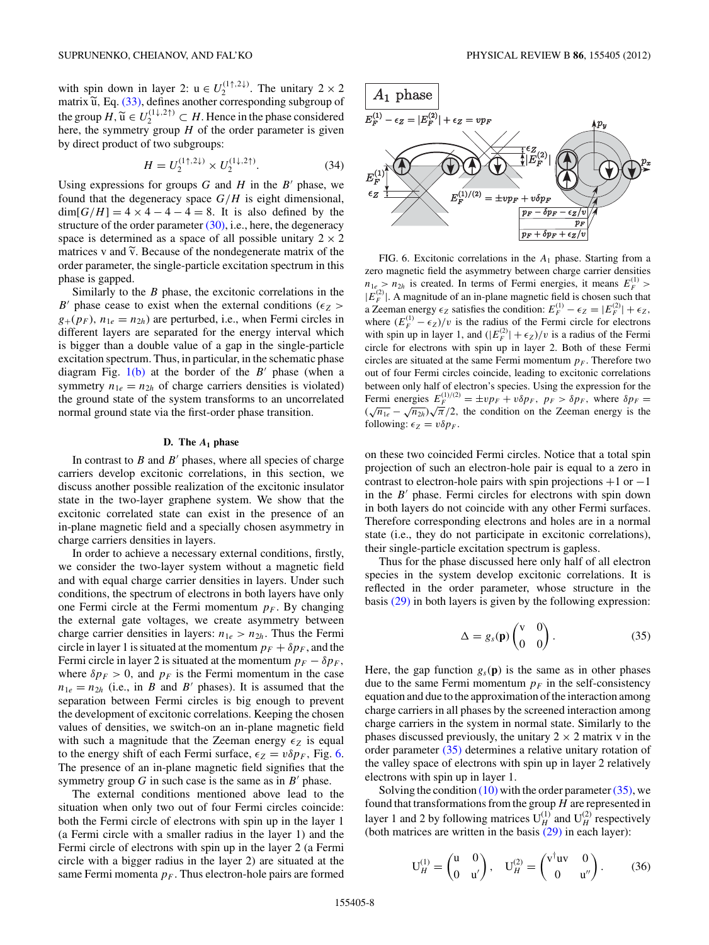<span id="page-7-0"></span>with spin down in layer 2:  $u \in U_2^{(1\uparrow,2\downarrow)}$ . The unitary  $2 \times 2$ matrix  $\widetilde{u}$ , Eq. [\(33\),](#page-6-0) defines another corresponding subgroup of the group  $H$ ,  $\widetilde{u} \in U_2^{(1\downarrow,2\uparrow)} \subset H$ . Hence in the phase considered<br>here the cummatry group  $H$  of the order perspector is given here, the symmetry group *H* of the order parameter is given by direct product of two subgroups:

$$
H = U_2^{(1\uparrow, 2\downarrow)} \times U_2^{(1\downarrow, 2\uparrow)}.\tag{34}
$$

Using expressions for groups  $G$  and  $H$  in the  $B'$  phase, we found that the degeneracy space *G/H* is eight dimensional,  $\dim[G/H] = 4 \times 4 - 4 - 4 = 8$ . It is also defined by the structure of the order parameter  $(30)$ , i.e., here, the degeneracy space is determined as a space of all possible unitary  $2 \times 2$ matrices v and  $\tilde{v}$ . Because of the nondegenerate matrix of the exploration execution experiments the property of the experimental experimental experiments. order parameter, the single-particle excitation spectrum in this phase is gapped.

Similarly to the *B* phase, the excitonic correlations in the *B*<sup> $\prime$ </sup> phase cease to exist when the external conditions ( $\epsilon_Z$ )  $g_{+}(p_F)$ ,  $n_{1e} = n_{2h}$ ) are perturbed, i.e., when Fermi circles in different layers are separated for the energy interval which is bigger than a double value of a gap in the single-particle excitation spectrum. Thus, in particular, in the schematic phase diagram Fig.  $1(b)$  at the border of the  $B'$  phase (when a symmetry  $n_{1e} = n_{2h}$  of charge carriers densities is violated) the ground state of the system transforms to an uncorrelated normal ground state via the first-order phase transition.

### **D. The** *A***<sup>1</sup> phase**

In contrast to  $B$  and  $B'$  phases, where all species of charge carriers develop excitonic correlations, in this section, we discuss another possible realization of the excitonic insulator state in the two-layer graphene system. We show that the excitonic correlated state can exist in the presence of an in-plane magnetic field and a specially chosen asymmetry in charge carriers densities in layers.

In order to achieve a necessary external conditions, firstly, we consider the two-layer system without a magnetic field and with equal charge carrier densities in layers. Under such conditions, the spectrum of electrons in both layers have only one Fermi circle at the Fermi momentum  $p_F$ . By changing the external gate voltages, we create asymmetry between charge carrier densities in layers:  $n_{1e} > n_{2h}$ . Thus the Fermi circle in layer 1 is situated at the momentum  $p_F + \delta p_F$ , and the Fermi circle in layer 2 is situated at the momentum  $p_F - \delta p_F$ , where  $\delta p_F > 0$ , and  $p_F$  is the Fermi momentum in the case  $n_{1e} = n_{2h}$  (i.e., in *B* and *B*<sup> $\prime$ </sup> phases). It is assumed that the separation between Fermi circles is big enough to prevent the development of excitonic correlations. Keeping the chosen values of densities, we switch-on an in-plane magnetic field with such a magnitude that the Zeeman energy  $\epsilon_Z$  is equal to the energy shift of each Fermi surface,  $\epsilon_Z = v \delta p_F$ , Fig. 6. The presence of an in-plane magnetic field signifies that the symmetry group  $G$  in such case is the same as in  $B'$  phase.

The external conditions mentioned above lead to the situation when only two out of four Fermi circles coincide: both the Fermi circle of electrons with spin up in the layer 1 (a Fermi circle with a smaller radius in the layer 1) and the Fermi circle of electrons with spin up in the layer 2 (a Fermi circle with a bigger radius in the layer 2) are situated at the same Fermi momenta  $p_F$ . Thus electron-hole pairs are formed



FIG. 6. Excitonic correlations in the *A*<sup>1</sup> phase. Starting from a zero magnetic field the asymmetry between charge carrier densities  $n_{1e} > n_{2h}$  is created. In terms of Fermi energies, it means  $E_F^{(1)}$  $|E_F^{(2)}|$ . A magnitude of an in-plane magnetic field is chosen such that a Zeeman energy  $\epsilon_Z$  satisfies the condition:  $E_F^{(1)} - \epsilon_Z = |E_F^{(2)}| + \epsilon_Z$ , where  $(E_F^{(1)} - \epsilon_Z)/v$  is the radius of the Fermi circle for electrons with spin up in layer 1, and  $(|E_F^{(2)}| + \epsilon_Z)/v$  is a radius of the Fermi circle for electrons with spin up in layer 2. Both of these Fermi circles are situated at the same Fermi momentum  $p_F$ . Therefore two out of four Fermi circles coincide, leading to excitonic correlations between only half of electron's species. Using the expression for the Fermi energies  $E_F^{(1)/(2)} = \pm v p_F + v \delta p_F$ ,  $p_F > \delta p_F$ , where  $\delta p_F =$  $(\sqrt{n_{1e}} - \sqrt{n_{2h}})\sqrt{\pi}/2$ , the condition on the Zeeman energy is the following:  $\epsilon_Z = v \delta p_F$ .

on these two coincided Fermi circles. Notice that a total spin projection of such an electron-hole pair is equal to a zero in contrast to electron-hole pairs with spin projections  $+1$  or  $-1$ in the  $B'$  phase. Fermi circles for electrons with spin down in both layers do not coincide with any other Fermi surfaces. Therefore corresponding electrons and holes are in a normal state (i.e., they do not participate in excitonic correlations), their single-particle excitation spectrum is gapless.

Thus for the phase discussed here only half of all electron species in the system develop excitonic correlations. It is reflected in the order parameter, whose structure in the basis [\(29\)](#page-6-0) in both layers is given by the following expression:

$$
\Delta = g_s(\mathbf{p}) \begin{pmatrix} \mathbf{v} & 0 \\ 0 & 0 \end{pmatrix} . \tag{35}
$$

Here, the gap function  $g_s(\mathbf{p})$  is the same as in other phases due to the same Fermi momentum  $p_F$  in the self-consistency equation and due to the approximation of the interaction among charge carriers in all phases by the screened interaction among charge carriers in the system in normal state. Similarly to the phases discussed previously, the unitary  $2 \times 2$  matrix v in the order parameter (35) determines a relative unitary rotation of the valley space of electrons with spin up in layer 2 relatively electrons with spin up in layer 1.

Solving the condition  $(10)$  with the order parameter  $(35)$ , we found that transformations from the group *H* are represented in layer 1 and 2 by following matrices  $U_H^{(1)}$  and  $U_H^{(2)}$  respectively (both matrices are written in the basis [\(29\)](#page-6-0) in each layer):

$$
\mathbf{U}_{H}^{(1)} = \begin{pmatrix} \mathbf{u} & 0 \\ 0 & \mathbf{u}' \end{pmatrix}, \quad \mathbf{U}_{H}^{(2)} = \begin{pmatrix} \mathbf{v}^{\dagger} \mathbf{u} \mathbf{v} & 0 \\ 0 & \mathbf{u}'' \end{pmatrix}. \tag{36}
$$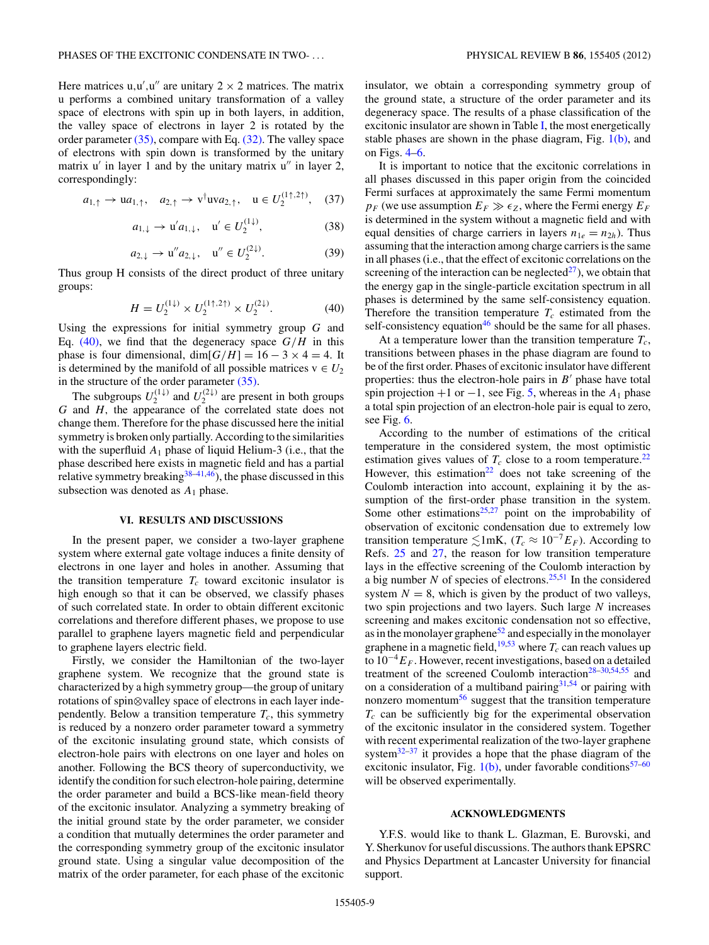<span id="page-8-0"></span>Here matrices  $u, u', u''$  are unitary  $2 \times 2$  matrices. The matrix u performs a combined unitary transformation of a valley space of electrons with spin up in both layers, in addition, the valley space of electrons in layer 2 is rotated by the order parameter [\(35\),](#page-7-0) compare with Eq. [\(32\).](#page-6-0) The valley space of electrons with spin down is transformed by the unitary matrix u' in layer 1 and by the unitary matrix u'' in layer 2, correspondingly:

$$
a_{1,\uparrow} \rightarrow ua_{1,\uparrow}, \quad a_{2,\uparrow} \rightarrow v^{\dagger} u v a_{2,\uparrow}, \quad u \in U_2^{(1\uparrow,2\uparrow)}, \quad (37)
$$

$$
a_{1,\downarrow} \to \mathbf{u}' a_{1,\downarrow}, \quad \mathbf{u}' \in U_2^{(1\downarrow)},\tag{38}
$$

$$
a_{2,\downarrow} \to \mathbf{u}'' a_{2,\downarrow}, \quad \mathbf{u}'' \in U_2^{(2\downarrow)}.\tag{39}
$$

Thus group H consists of the direct product of three unitary groups:

$$
H = U_2^{(1\downarrow)} \times U_2^{(1\uparrow,2\uparrow)} \times U_2^{(2\downarrow)}.\tag{40}
$$

Using the expressions for initial symmetry group *G* and Eq.  $(40)$ , we find that the degeneracy space  $G/H$  in this phase is four dimensional, dim $[G/H] = 16 - 3 \times 4 = 4$ . It is determined by the manifold of all possible matrices  $v \in U_2$ in the structure of the order parameter [\(35\).](#page-7-0)

The subgroups  $U_2^{(1\downarrow)}$  and  $U_2^{(2\downarrow)}$  are present in both groups *G* and *H,* the appearance of the correlated state does not change them. Therefore for the phase discussed here the initial symmetry is broken only partially. According to the similarities with the superfluid  $A_1$  phase of liquid Helium-3 (i.e., that the phase described here exists in magnetic field and has a partial relative symmetry breaking  $38-41,46$ ), the phase discussed in this subsection was denoted as *A*<sup>1</sup> phase.

### **VI. RESULTS AND DISCUSSIONS**

In the present paper, we consider a two-layer graphene system where external gate voltage induces a finite density of electrons in one layer and holes in another. Assuming that the transition temperature  $T_c$  toward excitonic insulator is high enough so that it can be observed, we classify phases of such correlated state. In order to obtain different excitonic correlations and therefore different phases, we propose to use parallel to graphene layers magnetic field and perpendicular to graphene layers electric field.

Firstly, we consider the Hamiltonian of the two-layer graphene system. We recognize that the ground state is characterized by a high symmetry group—the group of unitary rotations of spin⊗valley space of electrons in each layer independently. Below a transition temperature  $T_c$ , this symmetry is reduced by a nonzero order parameter toward a symmetry of the excitonic insulating ground state, which consists of electron-hole pairs with electrons on one layer and holes on another. Following the BCS theory of superconductivity, we identify the condition for such electron-hole pairing, determine the order parameter and build a BCS-like mean-field theory of the excitonic insulator. Analyzing a symmetry breaking of the initial ground state by the order parameter, we consider a condition that mutually determines the order parameter and the corresponding symmetry group of the excitonic insulator ground state. Using a singular value decomposition of the matrix of the order parameter, for each phase of the excitonic

insulator, we obtain a corresponding symmetry group of the ground state, a structure of the order parameter and its degeneracy space. The results of a phase classification of the excitonic insulator are shown in Table [I,](#page-4-0) the most energetically stable phases are shown in the phase diagram, Fig.  $1(b)$ , and on Figs. [4–](#page-5-0)[6.](#page-7-0)

It is important to notice that the excitonic correlations in all phases discussed in this paper origin from the coincided Fermi surfaces at approximately the same Fermi momentum  $p_F$  (we use assumption  $E_F \gg \epsilon_Z$ , where the Fermi energy  $E_F$ is determined in the system without a magnetic field and with equal densities of charge carriers in layers  $n_{1e} = n_{2h}$ ). Thus assuming that the interaction among charge carriers is the same in all phases (i.e., that the effect of excitonic correlations on the screening of the interaction can be neglected $^{27}$ ), we obtain that the energy gap in the single-particle excitation spectrum in all phases is determined by the same self-consistency equation. Therefore the transition temperature  $T_c$  estimated from the self-consistency equation<sup>46</sup> should be the same for all phases.

At a temperature lower than the transition temperature  $T_c$ , transitions between phases in the phase diagram are found to be of the first order. Phases of excitonic insulator have different properties: thus the electron-hole pairs in  $B'$  phase have total spin projection  $+1$  or  $-1$ , see Fig. [5,](#page-6-0) whereas in the  $A_1$  phase a total spin projection of an electron-hole pair is equal to zero, see Fig. [6.](#page-7-0)

According to the number of estimations of the critical temperature in the considered system, the most optimistic estimation gives values of  $T_c$  close to a room temperature.<sup>[22](#page-9-0)</sup> However, this estimation<sup>22</sup> does not take screening of the Coulomb interaction into account, explaining it by the assumption of the first-order phase transition in the system. Some other estimations $25,27$  point on the improbability of observation of excitonic condensation due to extremely low transition temperature  $\lesssim 1$  mK, ( $T_c \approx 10^{-7} E_F$ ). According to Refs. [25](#page-9-0) and [27,](#page-9-0) the reason for low transition temperature lays in the effective screening of the Coulomb interaction by a big number *N* of species of electrons.<sup>[25,51](#page-9-0)</sup> In the considered system  $N = 8$ , which is given by the product of two valleys, two spin projections and two layers. Such large *N* increases screening and makes excitonic condensation not so effective, as in the monolayer graphene<sup>52</sup> and especially in the monolayer graphene in a magnetic field,  $19,53$  where  $T_c$  can reach values up to  $10^{-4}E_F$ . However, recent investigations, based on a detailed treatment of the screened Coulomb interaction<sup>28-30,54,55</sup> and on a consideration of a multiband pairing $31,54$  or pairing with nonzero momentum $<sup>56</sup>$  suggest that the transition temperature</sup>  $T_c$  can be sufficiently big for the experimental observation of the excitonic insulator in the considered system. Together with recent experimental realization of the two-layer graphene system $32-37$  it provides a hope that the phase diagram of the excitonic insulator, Fig.  $1(b)$ , under favorable conditions<sup>57–60</sup> will be observed experimentally.

#### **ACKNOWLEDGMENTS**

Y.F.S. would like to thank L. Glazman, E. Burovski, and Y. Sherkunov for useful discussions. The authors thank EPSRC and Physics Department at Lancaster University for financial support.